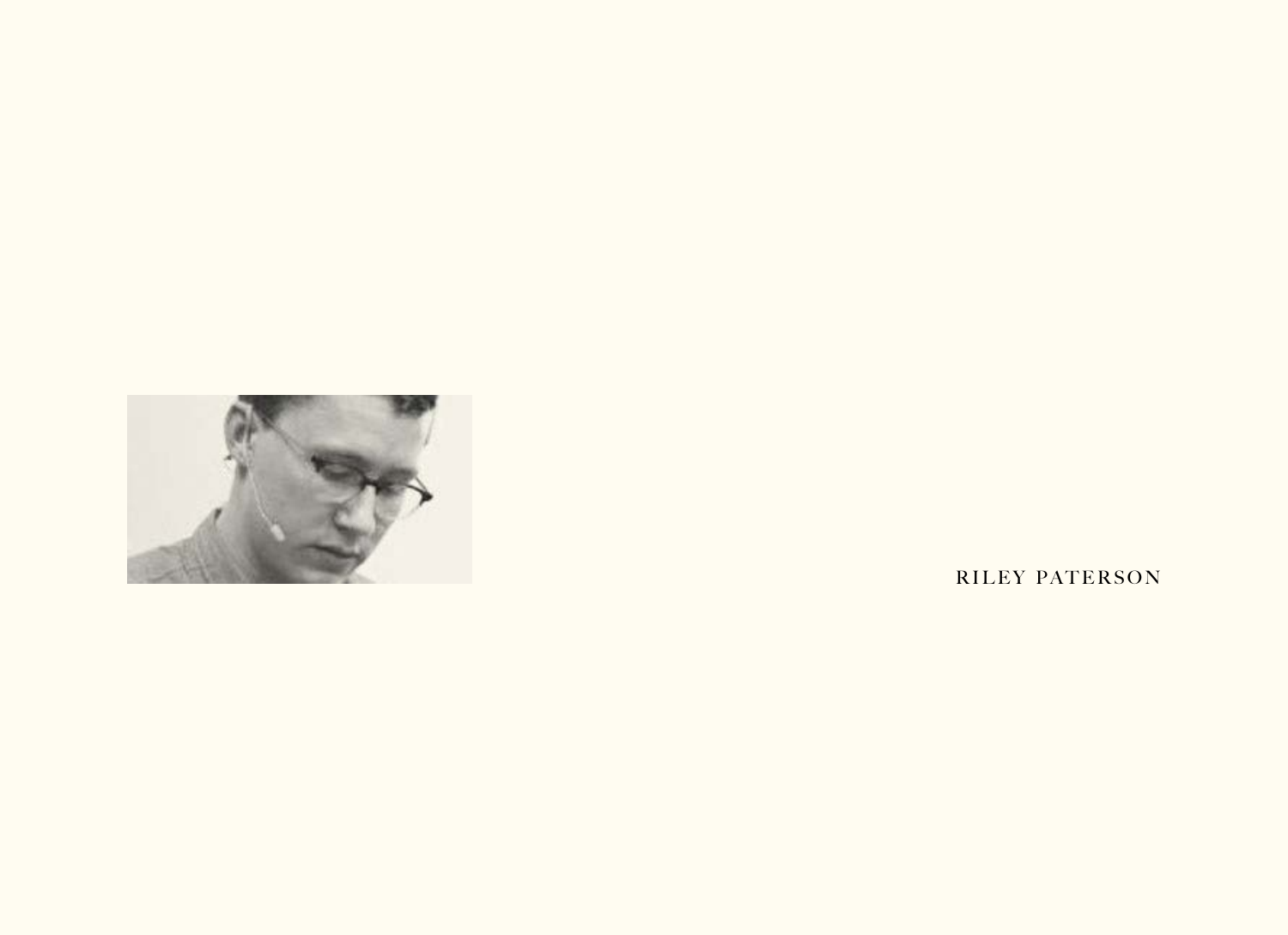

RILEY PATERSON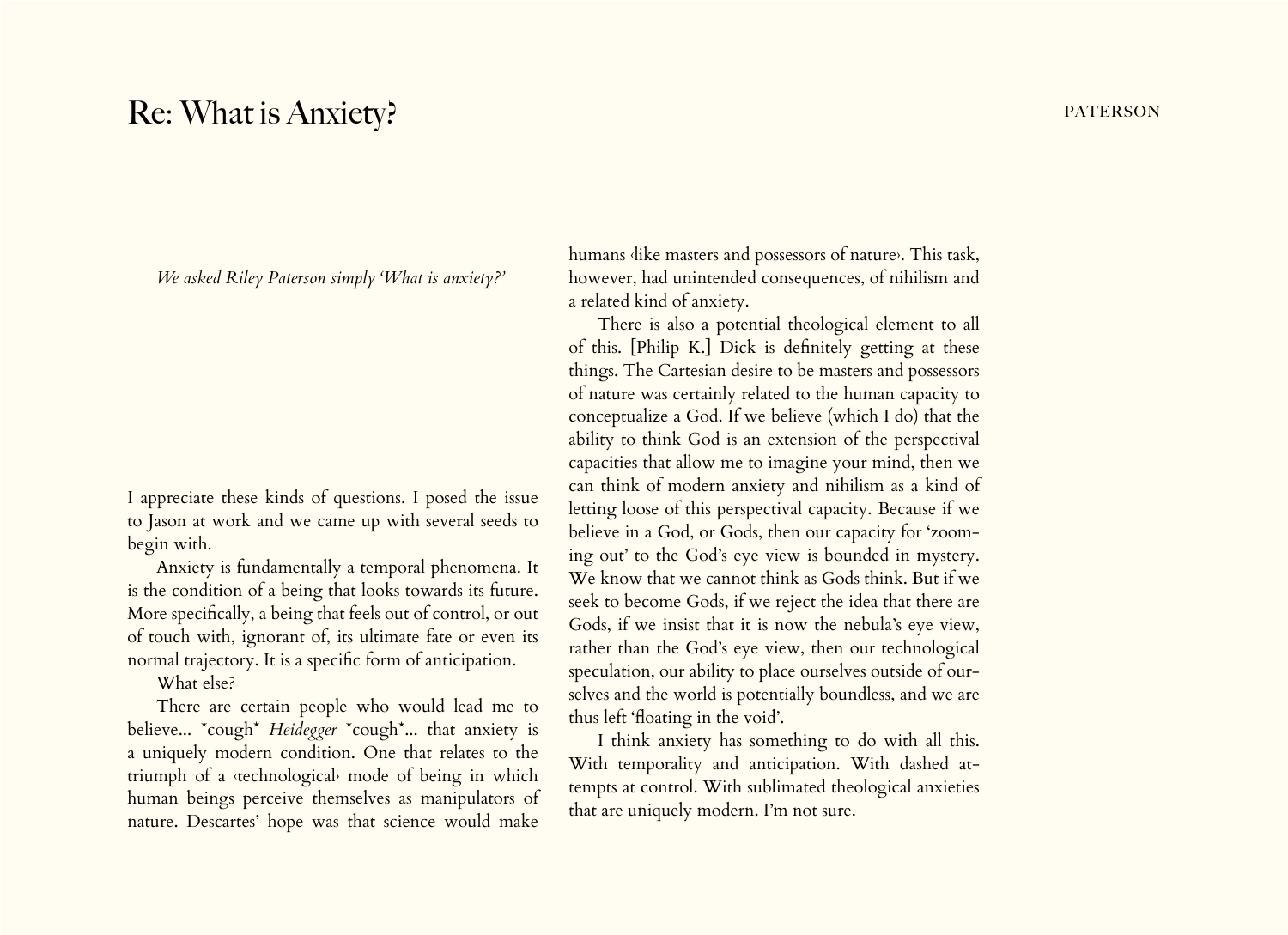## Re: What is Anxiety?

*We asked Riley Paterson simply 'What is anxiety?'*

I appreciate these kinds of questions. I posed the issue to Jason at work and we came up with several seeds to begin with.

Anxiety is fundamentally a temporal phenomena. It is the condition of a being that looks towards its future. More specifically, a being that feels out of control, or out of touch with, ignorant of, its ultimate fate or even its normal trajectory. It is a specific form of anticipation.

What else?

There are certain people who would lead me to believe... \*cough\* *Heidegger* \*cough\*... that anxiety is a uniquely modern condition. One that relates to the triumph of a ‹technological› mode of being in which human beings perceive themselves as manipulators of nature. Descartes' hope was that science would make

humans *dike masters and possessors of nature*. This task, however, had unintended consequences, of nihilism and a related kind of anxiety.

There is also a potential theological element to all of this. [Philip K.] Dick is definitely getting at these things. The Cartesian desire to be masters and possessors of nature was certainly related to the human capacity to conceptualize a God. If we believe (which I do) that the ability to think God is an extension of the perspectival capacities that allow me to imagine your mind, then we can think of modern anxiety and nihilism as a kind of letting loose of this perspectival capacity. Because if we believe in a God, or Gods, then our capacity for 'zooming out' to the God's eye view is bounded in mystery. We know that we cannot think as Gods think. But if we seek to become Gods, if we reject the idea that there are Gods, if we insist that it is now the nebula's eye view, rather than the God's eye view, then our technological speculation, our ability to place ourselves outside of ourselves and the world is potentially boundless, and we are thus left 'floating in the void'.

I think anxiety has something to do with all this. With temporality and anticipation. With dashed attempts at control. With sublimated theological anxieties that are uniquely modern. I'm not sure.